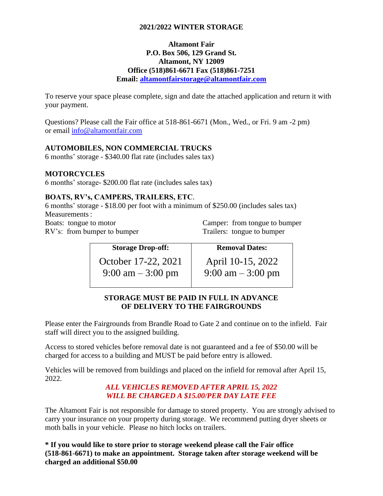## **2021/2022 WINTER STORAGE**

### **Altamont Fair P.O. Box 506, 129 Grand St. Altamont, NY 12009 Office (518)861-6671 Fax (518)861-7251 Email: [altamontfairstorage@altamontfair.com](mailto:altamontfairstorage@altamontfair.com)**

To reserve your space please complete, sign and date the attached application and return it with your payment.

Questions? Please call the Fair office at 518-861-6671 (Mon., Wed., or Fri. 9 am -2 pm) or email [info@altamontfair.com](mailto:info@altamontfair.com)

# **AUTOMOBILES, NON COMMERCIAL TRUCKS**

6 months' storage - \$340.00 flat rate (includes sales tax)

### **MOTORCYCLES**

6 months' storage- \$200.00 flat rate (includes sales tax)

### **BOATS, RV's, CAMPERS, TRAILERS, ETC**.

6 months' storage - \$18.00 per foot with a minimum of \$250.00 (includes sales tax) Measurements: Boats: tongue to motor

RV's: from bumper to bumper

Camper: from tongue to bumper Trailers: tongue to bumper

| <b>Storage Drop-off:</b> | <b>Removal Dates:</b>               |
|--------------------------|-------------------------------------|
| October 17-22, 2021      | April 10-15, 2022                   |
| 9:00 am $-3:00$ pm       | $9:00 \text{ am} - 3:00 \text{ pm}$ |

## **STORAGE MUST BE PAID IN FULL IN ADVANCE OF DELIVERY TO THE FAIRGROUNDS**

Please enter the Fairgrounds from Brandle Road to Gate 2 and continue on to the infield. Fair staff will direct you to the assigned building.

Access to stored vehicles before removal date is not guaranteed and a fee of \$50.00 will be charged for access to a building and MUST be paid before entry is allowed.

Vehicles will be removed from buildings and placed on the infield for removal after April 15, 2022.

## *ALL VEHICLES REMOVED AFTER APRIL 15, 2022 WILL BE CHARGED A \$15.00/PER DAY LATE FEE*

The Altamont Fair is not responsible for damage to stored property. You are strongly advised to carry your insurance on your property during storage. We recommend putting dryer sheets or moth balls in your vehicle. Please no hitch locks on trailers.

**\* If you would like to store prior to storage weekend please call the Fair office (518-861-6671) to make an appointment. Storage taken after storage weekend will be charged an additional \$50.00**